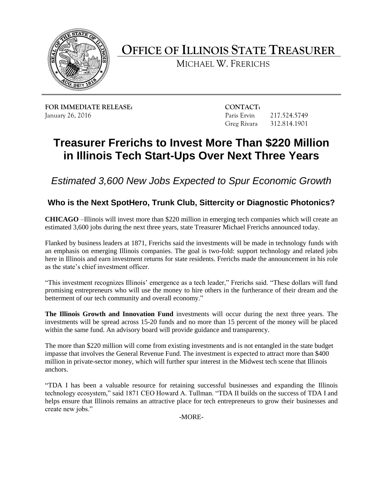

**OFFICE OF ILLINOIS STATE TREASURER**

MICHAEL W. FRERICHS

**FOR IMMEDIATE RELEASE: CONTACT:** January 26, 2016 Paris Ervin 217.524.5749

Greg Rivara 312.814.1901

# **Treasurer Frerichs to Invest More Than \$220 Million in Illinois Tech Start-Ups Over Next Three Years**

*Estimated 3,600 New Jobs Expected to Spur Economic Growth*

## **Who is the Next SpotHero, Trunk Club, Sittercity or Diagnostic Photonics?**

**CHICAGO** –Illinois will invest more than \$220 million in emerging tech companies which will create an estimated 3,600 jobs during the next three years, state Treasurer Michael Frerichs announced today.

Flanked by business leaders at 1871, Frerichs said the investments will be made in technology funds with an emphasis on emerging Illinois companies. The goal is two-fold: support technology and related jobs here in Illinois and earn investment returns for state residents. Frerichs made the announcement in his role as the state's chief investment officer.

"This investment recognizes Illinois' emergence as a tech leader," Frerichs said. "These dollars will fund promising entrepreneurs who will use the money to hire others in the furtherance of their dream and the betterment of our tech community and overall economy."

**The Illinois Growth and Innovation Fund** investments will occur during the next three years. The investments will be spread across 15-20 funds and no more than 15 percent of the money will be placed within the same fund. An advisory board will provide guidance and transparency.

The more than \$220 million will come from existing investments and is not entangled in the state budget impasse that involves the General Revenue Fund. The investment is expected to attract more than \$400 million in private-sector money, which will further spur interest in the Midwest tech scene that Illinois anchors.

"TDA I has been a valuable resource for retaining successful businesses and expanding the Illinois technology ecosystem," said 1871 CEO Howard A. Tullman. "TDA II builds on the success of TDA I and helps ensure that Illinois remains an attractive place for tech entrepreneurs to grow their businesses and create new jobs."

-MORE-